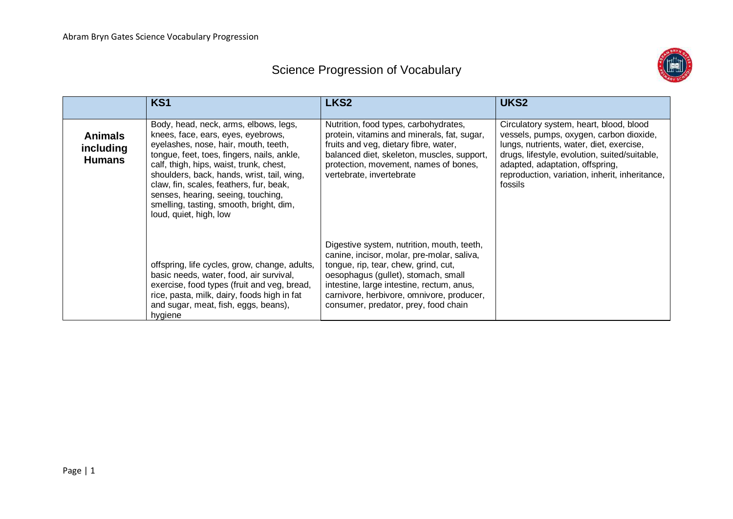## Science Progression of Vocabulary



|                                              | KS1                                                                                                                                                                                                                                                                                                                                                                                                              | LKS <sub>2</sub>                                                                                                                                                                                                                                                                                          | UKS <sub>2</sub>                                                                                                                                                                                                                                                                |
|----------------------------------------------|------------------------------------------------------------------------------------------------------------------------------------------------------------------------------------------------------------------------------------------------------------------------------------------------------------------------------------------------------------------------------------------------------------------|-----------------------------------------------------------------------------------------------------------------------------------------------------------------------------------------------------------------------------------------------------------------------------------------------------------|---------------------------------------------------------------------------------------------------------------------------------------------------------------------------------------------------------------------------------------------------------------------------------|
| <b>Animals</b><br>including<br><b>Humans</b> | Body, head, neck, arms, elbows, legs,<br>knees, face, ears, eyes, eyebrows,<br>eyelashes, nose, hair, mouth, teeth,<br>tongue, feet, toes, fingers, nails, ankle,<br>calf, thigh, hips, waist, trunk, chest,<br>shoulders, back, hands, wrist, tail, wing,<br>claw, fin, scales, feathers, fur, beak,<br>senses, hearing, seeing, touching,<br>smelling, tasting, smooth, bright, dim,<br>loud, quiet, high, low | Nutrition, food types, carbohydrates,<br>protein, vitamins and minerals, fat, sugar,<br>fruits and veg, dietary fibre, water,<br>balanced diet, skeleton, muscles, support,<br>protection, movement, names of bones,<br>vertebrate, invertebrate                                                          | Circulatory system, heart, blood, blood<br>vessels, pumps, oxygen, carbon dioxide,<br>lungs, nutrients, water, diet, exercise,<br>drugs, lifestyle, evolution, suited/suitable,<br>adapted, adaptation, offspring,<br>reproduction, variation, inherit, inheritance,<br>fossils |
|                                              | offspring, life cycles, grow, change, adults,<br>basic needs, water, food, air survival,<br>exercise, food types (fruit and veg, bread,<br>rice, pasta, milk, dairy, foods high in fat<br>and sugar, meat, fish, eggs, beans),<br>hygiene                                                                                                                                                                        | Digestive system, nutrition, mouth, teeth,<br>canine, incisor, molar, pre-molar, saliva,<br>tongue, rip, tear, chew, grind, cut,<br>oesophagus (gullet), stomach, small<br>intestine, large intestine, rectum, anus,<br>carnivore, herbivore, omnivore, producer,<br>consumer, predator, prey, food chain |                                                                                                                                                                                                                                                                                 |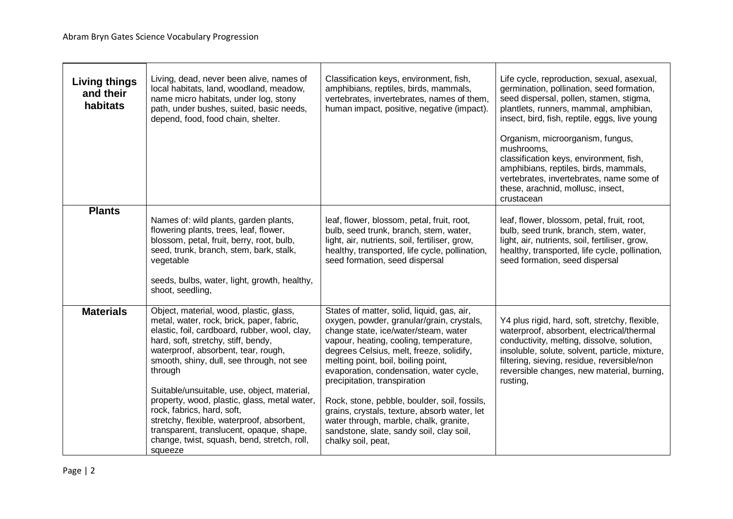| <b>Living things</b><br>and their<br>habitats | Living, dead, never been alive, names of<br>local habitats, land, woodland, meadow,<br>name micro habitats, under log, stony<br>path, under bushes, suited, basic needs,<br>depend, food, food chain, shelter.                                                                                                                                                                                                                                                                                                                                               | Classification keys, environment, fish,<br>amphibians, reptiles, birds, mammals,<br>vertebrates, invertebrates, names of them,<br>human impact, positive, negative (impact).                                                                                                                                                                                                                                                                                                                                                                        | Life cycle, reproduction, sexual, asexual,<br>germination, pollination, seed formation,<br>seed dispersal, pollen, stamen, stigma,<br>plantlets, runners, mammal, amphibian,<br>insect, bird, fish, reptile, eggs, live young<br>Organism, microorganism, fungus,<br>mushrooms,<br>classification keys, environment, fish,<br>amphibians, reptiles, birds, mammals,<br>vertebrates, invertebrates, name some of<br>these, arachnid, mollusc, insect,<br>crustacean |
|-----------------------------------------------|--------------------------------------------------------------------------------------------------------------------------------------------------------------------------------------------------------------------------------------------------------------------------------------------------------------------------------------------------------------------------------------------------------------------------------------------------------------------------------------------------------------------------------------------------------------|-----------------------------------------------------------------------------------------------------------------------------------------------------------------------------------------------------------------------------------------------------------------------------------------------------------------------------------------------------------------------------------------------------------------------------------------------------------------------------------------------------------------------------------------------------|--------------------------------------------------------------------------------------------------------------------------------------------------------------------------------------------------------------------------------------------------------------------------------------------------------------------------------------------------------------------------------------------------------------------------------------------------------------------|
| <b>Plants</b>                                 | Names of: wild plants, garden plants,<br>flowering plants, trees, leaf, flower,<br>blossom, petal, fruit, berry, root, bulb,<br>seed, trunk, branch, stem, bark, stalk,<br>vegetable<br>seeds, bulbs, water, light, growth, healthy,<br>shoot, seedling,                                                                                                                                                                                                                                                                                                     | leaf, flower, blossom, petal, fruit, root,<br>bulb, seed trunk, branch, stem, water,<br>light, air, nutrients, soil, fertiliser, grow,<br>healthy, transported, life cycle, pollination,<br>seed formation, seed dispersal                                                                                                                                                                                                                                                                                                                          | leaf, flower, blossom, petal, fruit, root,<br>bulb, seed trunk, branch, stem, water,<br>light, air, nutrients, soil, fertiliser, grow,<br>healthy, transported, life cycle, pollination,<br>seed formation, seed dispersal                                                                                                                                                                                                                                         |
| <b>Materials</b>                              | Object, material, wood, plastic, glass,<br>metal, water, rock, brick, paper, fabric,<br>elastic, foil, cardboard, rubber, wool, clay,<br>hard, soft, stretchy, stiff, bendy,<br>waterproof, absorbent, tear, rough,<br>smooth, shiny, dull, see through, not see<br>through<br>Suitable/unsuitable, use, object, material,<br>property, wood, plastic, glass, metal water,<br>rock, fabrics, hard, soft,<br>stretchy, flexible, waterproof, absorbent,<br>transparent, translucent, opaque, shape,<br>change, twist, squash, bend, stretch, roll,<br>squeeze | States of matter, solid, liquid, gas, air,<br>oxygen, powder, granular/grain, crystals,<br>change state, ice/water/steam, water<br>vapour, heating, cooling, temperature,<br>degrees Celsius, melt, freeze, solidify,<br>melting point, boil, boiling point,<br>evaporation, condensation, water cycle,<br>precipitation, transpiration<br>Rock, stone, pebble, boulder, soil, fossils,<br>grains, crystals, texture, absorb water, let<br>water through, marble, chalk, granite,<br>sandstone, slate, sandy soil, clay soil,<br>chalky soil, peat, | Y4 plus rigid, hard, soft, stretchy, flexible,<br>waterproof, absorbent, electrical/thermal<br>conductivity, melting, dissolve, solution,<br>insoluble, solute, solvent, particle, mixture,<br>filtering, sieving, residue, reversible/non<br>reversible changes, new material, burning,<br>rusting,                                                                                                                                                               |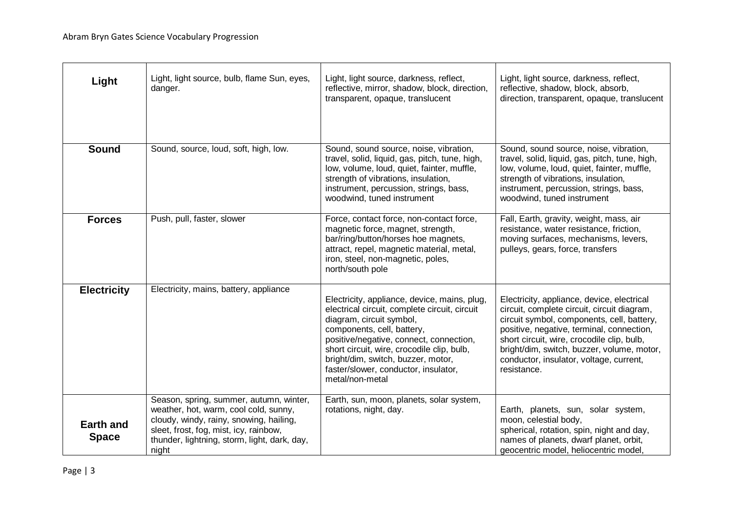| Light                            | Light, light source, bulb, flame Sun, eyes,<br>danger.                                                                                                                                                                         | Light, light source, darkness, reflect,<br>reflective, mirror, shadow, block, direction,<br>transparent, opaque, translucent                                                                                                                                                                                                                      | Light, light source, darkness, reflect,<br>reflective, shadow, block, absorb,<br>direction, transparent, opaque, translucent                                                                                                                                                                                                               |
|----------------------------------|--------------------------------------------------------------------------------------------------------------------------------------------------------------------------------------------------------------------------------|---------------------------------------------------------------------------------------------------------------------------------------------------------------------------------------------------------------------------------------------------------------------------------------------------------------------------------------------------|--------------------------------------------------------------------------------------------------------------------------------------------------------------------------------------------------------------------------------------------------------------------------------------------------------------------------------------------|
| <b>Sound</b>                     | Sound, source, loud, soft, high, low.                                                                                                                                                                                          | Sound, sound source, noise, vibration,<br>travel, solid, liquid, gas, pitch, tune, high,<br>low, volume, loud, quiet, fainter, muffle,<br>strength of vibrations, insulation,<br>instrument, percussion, strings, bass,<br>woodwind, tuned instrument                                                                                             | Sound, sound source, noise, vibration,<br>travel, solid, liquid, gas, pitch, tune, high,<br>low, volume, loud, quiet, fainter, muffle,<br>strength of vibrations, insulation,<br>instrument, percussion, strings, bass,<br>woodwind, tuned instrument                                                                                      |
| <b>Forces</b>                    | Push, pull, faster, slower                                                                                                                                                                                                     | Force, contact force, non-contact force,<br>magnetic force, magnet, strength,<br>bar/ring/button/horses hoe magnets,<br>attract, repel, magnetic material, metal,<br>iron, steel, non-magnetic, poles,<br>north/south pole                                                                                                                        | Fall, Earth, gravity, weight, mass, air<br>resistance, water resistance, friction,<br>moving surfaces, mechanisms, levers,<br>pulleys, gears, force, transfers                                                                                                                                                                             |
| <b>Electricity</b>               | Electricity, mains, battery, appliance                                                                                                                                                                                         | Electricity, appliance, device, mains, plug,<br>electrical circuit, complete circuit, circuit<br>diagram, circuit symbol,<br>components, cell, battery,<br>positive/negative, connect, connection,<br>short circuit, wire, crocodile clip, bulb,<br>bright/dim, switch, buzzer, motor,<br>faster/slower, conductor, insulator,<br>metal/non-metal | Electricity, appliance, device, electrical<br>circuit, complete circuit, circuit diagram,<br>circuit symbol, components, cell, battery,<br>positive, negative, terminal, connection,<br>short circuit, wire, crocodile clip, bulb,<br>bright/dim, switch, buzzer, volume, motor,<br>conductor, insulator, voltage, current,<br>resistance. |
| <b>Earth and</b><br><b>Space</b> | Season, spring, summer, autumn, winter,<br>weather, hot, warm, cool cold, sunny,<br>cloudy, windy, rainy, snowing, hailing,<br>sleet, frost, fog, mist, icy, rainbow,<br>thunder, lightning, storm, light, dark, day,<br>night | Earth, sun, moon, planets, solar system,<br>rotations, night, day.                                                                                                                                                                                                                                                                                | Earth, planets, sun, solar system,<br>moon, celestial body,<br>spherical, rotation, spin, night and day,<br>names of planets, dwarf planet, orbit,<br>geocentric model, heliocentric model,                                                                                                                                                |